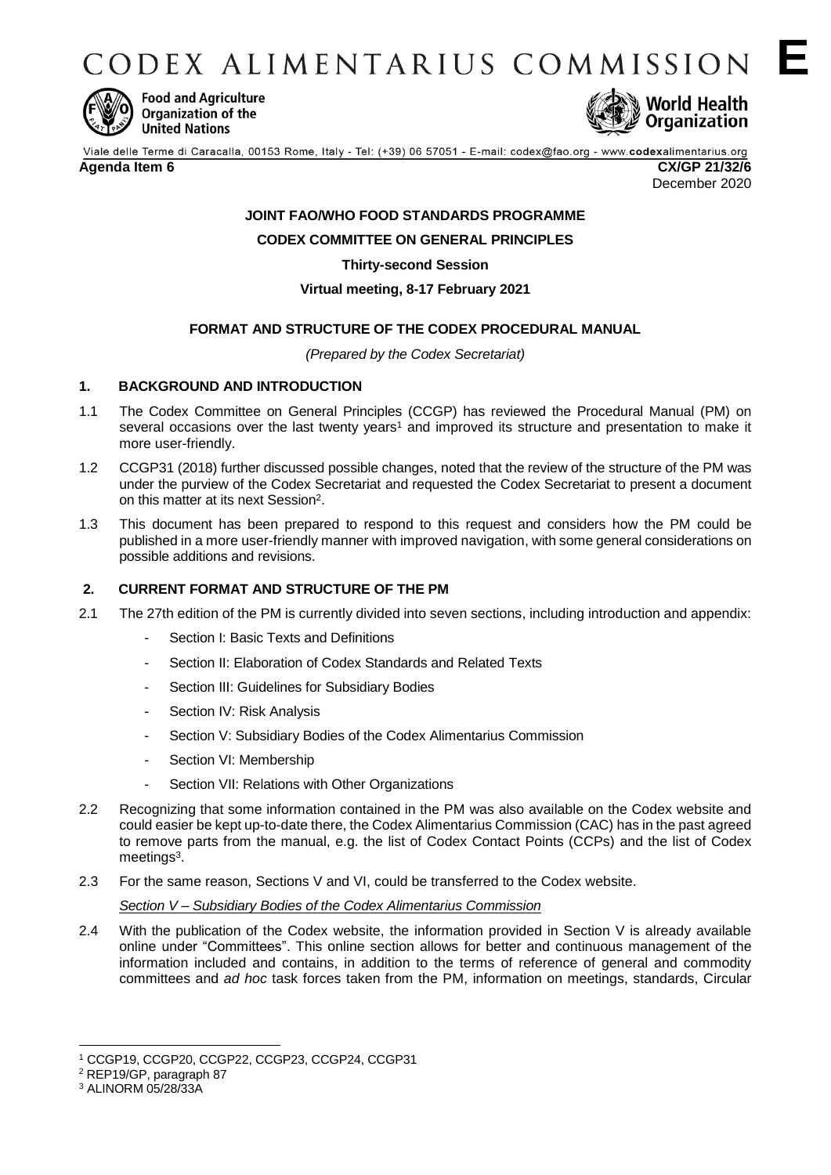CODEX ALIMENTARIUS COMMISSION E



**Food and Agriculture Organization of the United Nations** 



December 2020

# **JOINT FAO/WHO FOOD STANDARDS PROGRAMME**

**CODEX COMMITTEE ON GENERAL PRINCIPLES**

**Thirty-second Session**

#### **Virtual meeting, 8-17 February 2021**

## **FORMAT AND STRUCTURE OF THE CODEX PROCEDURAL MANUAL**

*(Prepared by the Codex Secretariat)*

## **1. BACKGROUND AND INTRODUCTION**

- 1.1 The Codex Committee on General Principles (CCGP) has reviewed the Procedural Manual (PM) on several occasions over the last twenty years<sup>1</sup> and improved its structure and presentation to make it more user-friendly.
- 1.2 CCGP31 (2018) further discussed possible changes, noted that the review of the structure of the PM was under the purview of the Codex Secretariat and requested the Codex Secretariat to present a document on this matter at its next Session<sup>2</sup>.
- 1.3 This document has been prepared to respond to this request and considers how the PM could be published in a more user-friendly manner with improved navigation, with some general considerations on possible additions and revisions.

## **2. CURRENT FORMAT AND STRUCTURE OF THE PM**

- 2.1 The 27th edition of the PM is currently divided into seven sections, including introduction and appendix:
	- Section I: Basic Texts and Definitions
	- Section II: Elaboration of Codex Standards and Related Texts
	- Section III: Guidelines for Subsidiary Bodies
	- Section IV: Risk Analysis
	- Section V: Subsidiary Bodies of the Codex Alimentarius Commission
	- Section VI: Membership
	- Section VII: Relations with Other Organizations
- 2.2 Recognizing that some information contained in the PM was also available on the Codex website and could easier be kept up-to-date there, the Codex Alimentarius Commission (CAC) has in the past agreed to remove parts from the manual, e.g. the list of Codex Contact Points (CCPs) and the list of Codex meetings<sup>3</sup>.
- 2.3 For the same reason, Sections V and VI, could be transferred to the Codex website.

#### *Section V – Subsidiary Bodies of the Codex Alimentarius Commission*

2.4 With the publication of the Codex website, the information provided in Section V is already available online under "Committees". This online section allows for better and continuous management of the information included and contains, in addition to the terms of reference of general and commodity committees and *ad hoc* task forces taken from the PM, information on meetings, standards, Circular

<sup>1</sup> <sup>1</sup> CCGP19, CCGP20, CCGP22, CCGP23, CCGP24, CCGP31

<sup>2</sup> REP19/GP, paragraph 87

<sup>3</sup> ALINORM 05/28/33A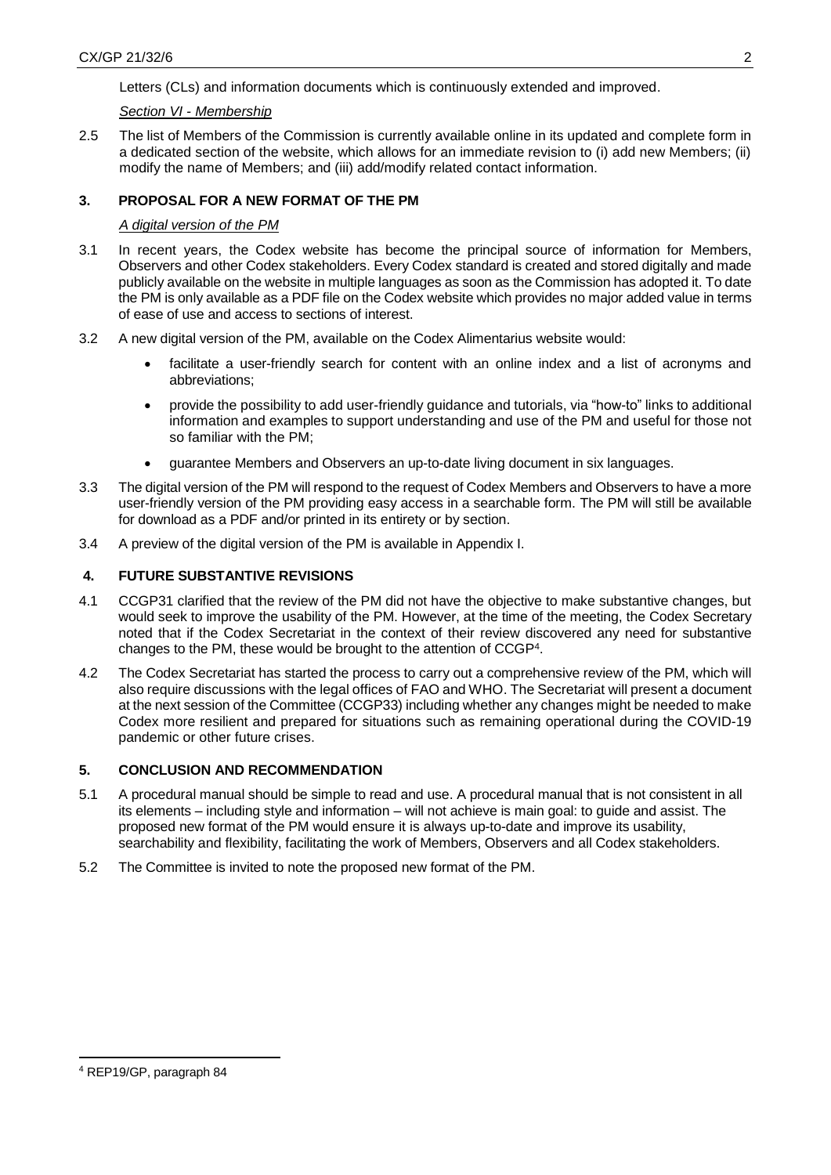Letters (CLs) and information documents which is continuously extended and improved.

#### *Section VI - Membership*

2.5 The list of Members of the Commission is currently available online in its updated and complete form in a dedicated section of the website, which allows for an immediate revision to (i) add new Members; (ii) modify the name of Members; and (iii) add/modify related contact information.

#### **3. PROPOSAL FOR A NEW FORMAT OF THE PM**

#### *A digital version of the PM*

- 3.1 In recent years, the Codex website has become the principal source of information for Members, Observers and other Codex stakeholders. Every Codex standard is created and stored digitally and made publicly available on the website in multiple languages as soon as the Commission has adopted it. To date the PM is only available as a PDF file on the Codex website which provides no major added value in terms of ease of use and access to sections of interest.
- 3.2 A new digital version of the PM, available on the Codex Alimentarius website would:
	- facilitate a user-friendly search for content with an online index and a list of acronyms and abbreviations;
	- provide the possibility to add user-friendly guidance and tutorials, via "how-to" links to additional information and examples to support understanding and use of the PM and useful for those not so familiar with the PM;
	- guarantee Members and Observers an up-to-date living document in six languages.
- 3.3 The digital version of the PM will respond to the request of Codex Members and Observers to have a more user-friendly version of the PM providing easy access in a searchable form. The PM will still be available for download as a PDF and/or printed in its entirety or by section.
- 3.4 A preview of the digital version of the PM is available in Appendix I.

#### **4. FUTURE SUBSTANTIVE REVISIONS**

- 4.1 CCGP31 clarified that the review of the PM did not have the objective to make substantive changes, but would seek to improve the usability of the PM. However, at the time of the meeting, the Codex Secretary noted that if the Codex Secretariat in the context of their review discovered any need for substantive changes to the PM, these would be brought to the attention of CCGP<sup>4</sup> .
- 4.2 The Codex Secretariat has started the process to carry out a comprehensive review of the PM, which will also require discussions with the legal offices of FAO and WHO. The Secretariat will present a document at the next session of the Committee (CCGP33) including whether any changes might be needed to make Codex more resilient and prepared for situations such as remaining operational during the COVID-19 pandemic or other future crises.

#### **5. CONCLUSION AND RECOMMENDATION**

- 5.1 A procedural manual should be simple to read and use. A procedural manual that is not consistent in all its elements – including style and information – will not achieve is main goal: to guide and assist. The proposed new format of the PM would ensure it is always up-to-date and improve its usability, searchability and flexibility, facilitating the work of Members, Observers and all Codex stakeholders.
- 5.2 The Committee is invited to note the proposed new format of the PM.

-

<sup>4</sup> REP19/GP, paragraph 84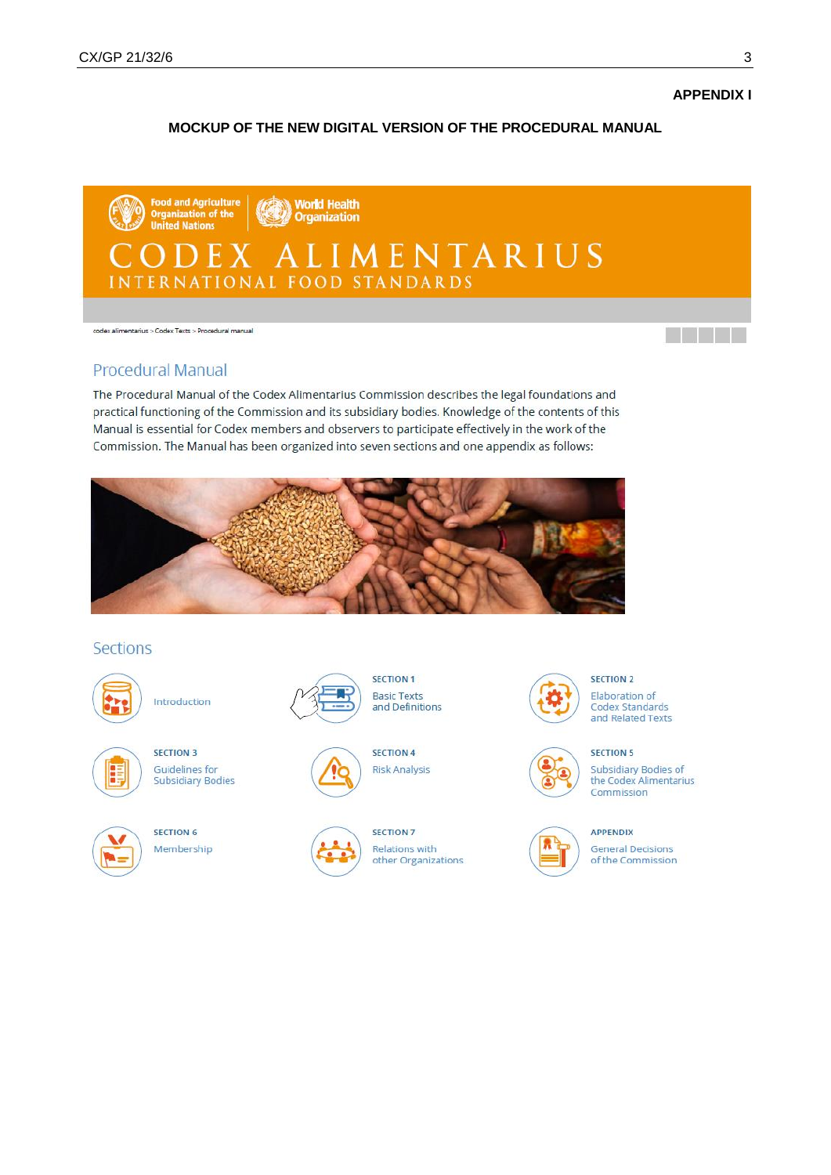**APPENDIX I** 

<u>ta ka</u>

#### MOCKUP OF THE NEW DIGITAL VERSION OF THE PROCEDURAL MANUAL



codex alimentarius > Codex Texts > Procedural manual

#### **Procedural Manual**

The Procedural Manual of the Codex Alimentarius Commission describes the legal foundations and practical functioning of the Commission and its subsidiary bodies. Knowledge of the contents of this Manual is essential for Codex members and observers to participate effectively in the work of the Commission. The Manual has been organized into seven sections and one appendix as follows:



#### **Sections**



Introduction



**SECTION 3 Guidelines** for **Subsidiary Bodies** 



SECTION 6 Membership





**SECTION 4 Risk Analysis** 

**SECTION 1** 

**Basic Texts** 

and Definitions



SECTION 7 **Relations with** other Organizations



# **SECTION 2**

Elaboration of Codex Standards and Related Texts

#### **SECTION 5**





**APPENDIX** 

**General Decisions** of the Commission